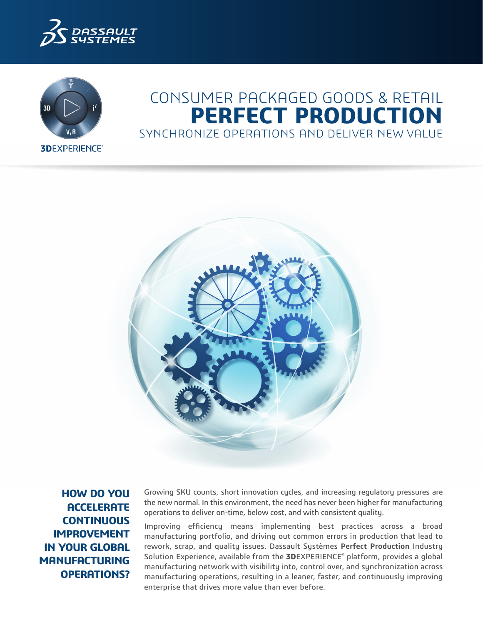



# CONSUMER PACKAGED GOODS & RETAIL **PERFECT PRODUCTION** SYNCHRONIZE OPERATIONS AND DELIVER NEW VALUE





**HOW DO YOU ACCELERATE CONTINUOUS IMPROVEMENT IN YOUR GLOBAL MANUFACTURING OPERATIONS?**

Growing SKU counts, short innovation cycles, and increasing regulatory pressures are the new normal. In this environment, the need has never been higher for manufacturing operations to deliver on-time, below cost, and with consistent quality.

Improving efficiency means implementing best practices across a broad manufacturing portfolio, and driving out common errors in production that lead to rework, scrap, and quality issues. Dassault Systèmes **Perfect Production** Industry Solution Experience, available from the **3D**EXPERIENCE® platform, provides a global manufacturing network with visibility into, control over, and synchronization across manufacturing operations, resulting in a leaner, faster, and continuously improving enterprise that drives more value than ever before.